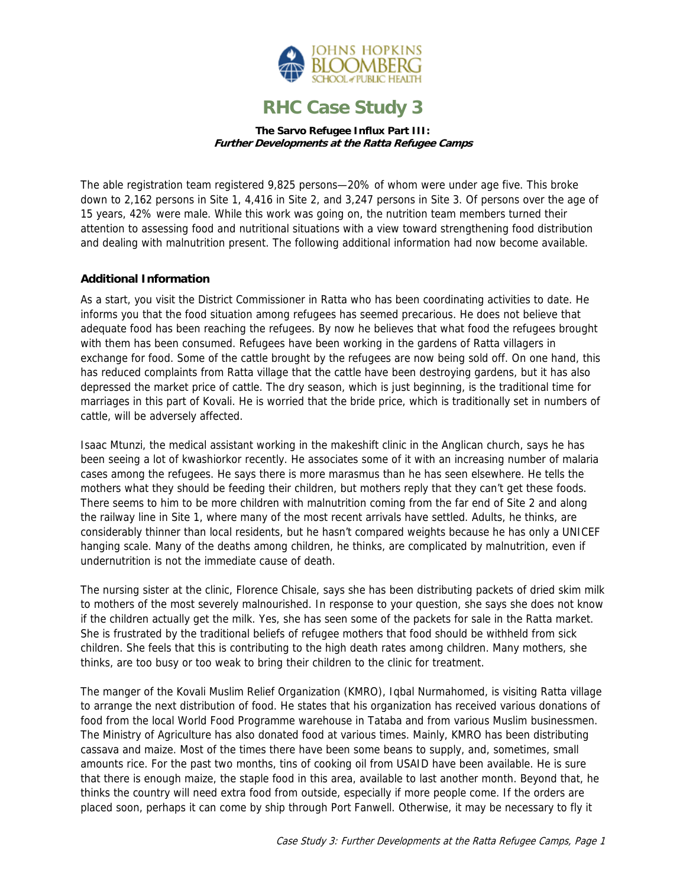

## **RHC Case Study 3**

**The Sarvo Refugee Influx Part III: Further Developments at the Ratta Refugee Camps**

The able registration team registered 9,825 persons—20% of whom were under age five. This broke down to 2,162 persons in Site 1, 4,416 in Site 2, and 3,247 persons in Site 3. Of persons over the age of 15 years, 42% were male. While this work was going on, the nutrition team members turned their attention to assessing food and nutritional situations with a view toward strengthening food distribution and dealing with malnutrition present. The following additional information had now become available.

## **Additional Information**

As a start, you visit the District Commissioner in Ratta who has been coordinating activities to date. He informs you that the food situation among refugees has seemed precarious. He does not believe that adequate food has been reaching the refugees. By now he believes that what food the refugees brought with them has been consumed. Refugees have been working in the gardens of Ratta villagers in exchange for food. Some of the cattle brought by the refugees are now being sold off. On one hand, this has reduced complaints from Ratta village that the cattle have been destroying gardens, but it has also depressed the market price of cattle. The dry season, which is just beginning, is the traditional time for marriages in this part of Kovali. He is worried that the bride price, which is traditionally set in numbers of cattle, will be adversely affected.

Isaac Mtunzi, the medical assistant working in the makeshift clinic in the Anglican church, says he has been seeing a lot of kwashiorkor recently. He associates some of it with an increasing number of malaria cases among the refugees. He says there is more marasmus than he has seen elsewhere. He tells the mothers what they should be feeding their children, but mothers reply that they can't get these foods. There seems to him to be more children with malnutrition coming from the far end of Site 2 and along the railway line in Site 1, where many of the most recent arrivals have settled. Adults, he thinks, are considerably thinner than local residents, but he hasn't compared weights because he has only a UNICEF hanging scale. Many of the deaths among children, he thinks, are complicated by malnutrition, even if undernutrition is not the immediate cause of death.

The nursing sister at the clinic, Florence Chisale, says she has been distributing packets of dried skim milk to mothers of the most severely malnourished. In response to your question, she says she does not know if the children actually get the milk. Yes, she has seen some of the packets for sale in the Ratta market. She is frustrated by the traditional beliefs of refugee mothers that food should be withheld from sick children. She feels that this is contributing to the high death rates among children. Many mothers, she thinks, are too busy or too weak to bring their children to the clinic for treatment.

The manger of the Kovali Muslim Relief Organization (KMRO), Iqbal Nurmahomed, is visiting Ratta village to arrange the next distribution of food. He states that his organization has received various donations of food from the local World Food Programme warehouse in Tataba and from various Muslim businessmen. The Ministry of Agriculture has also donated food at various times. Mainly, KMRO has been distributing cassava and maize. Most of the times there have been some beans to supply, and, sometimes, small amounts rice. For the past two months, tins of cooking oil from USAID have been available. He is sure that there is enough maize, the staple food in this area, available to last another month. Beyond that, he thinks the country will need extra food from outside, especially if more people come. If the orders are placed soon, perhaps it can come by ship through Port Fanwell. Otherwise, it may be necessary to fly it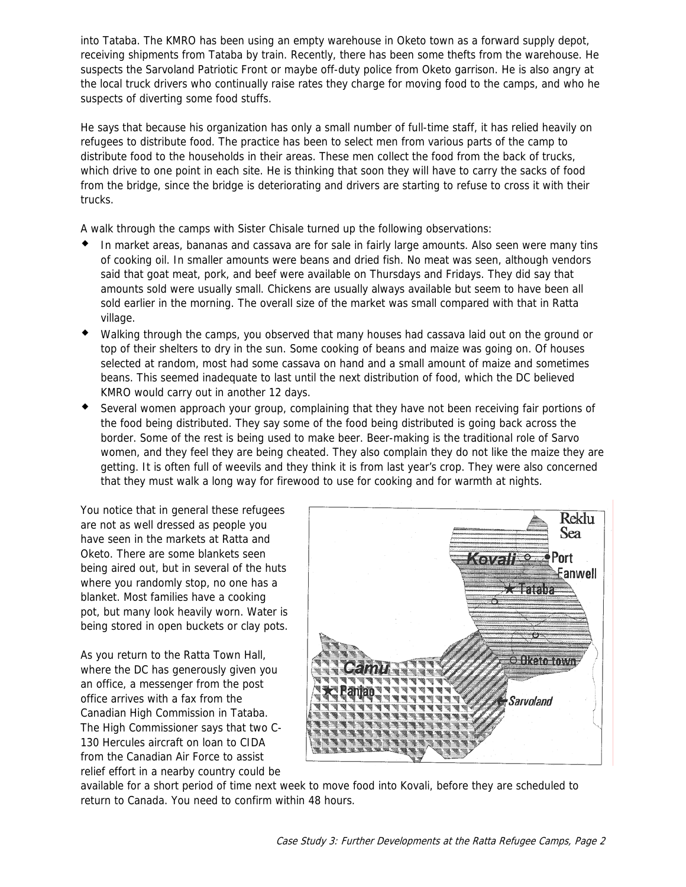into Tataba. The KMRO has been using an empty warehouse in Oketo town as a forward supply depot, receiving shipments from Tataba by train. Recently, there has been some thefts from the warehouse. He suspects the Sarvoland Patriotic Front or maybe off-duty police from Oketo garrison. He is also angry at the local truck drivers who continually raise rates they charge for moving food to the camps, and who he suspects of diverting some food stuffs.

He says that because his organization has only a small number of full-time staff, it has relied heavily on refugees to distribute food. The practice has been to select men from various parts of the camp to distribute food to the households in their areas. These men collect the food from the back of trucks, which drive to one point in each site. He is thinking that soon they will have to carry the sacks of food from the bridge, since the bridge is deteriorating and drivers are starting to refuse to cross it with their trucks.

A walk through the camps with Sister Chisale turned up the following observations:

- In market areas, bananas and cassava are for sale in fairly large amounts. Also seen were many tins of cooking oil. In smaller amounts were beans and dried fish. No meat was seen, although vendors said that goat meat, pork, and beef were available on Thursdays and Fridays. They did say that amounts sold were usually small. Chickens are usually always available but seem to have been all sold earlier in the morning. The overall size of the market was small compared with that in Ratta village.
- Walking through the camps, you observed that many houses had cassava laid out on the ground or top of their shelters to dry in the sun. Some cooking of beans and maize was going on. Of houses selected at random, most had some cassava on hand and a small amount of maize and sometimes beans. This seemed inadequate to last until the next distribution of food, which the DC believed KMRO would carry out in another 12 days.
- Several women approach your group, complaining that they have not been receiving fair portions of the food being distributed. They say some of the food being distributed is going back across the border. Some of the rest is being used to make beer. Beer-making is the traditional role of Sarvo women, and they feel they are being cheated. They also complain they do not like the maize they are getting. It is often full of weevils and they think it is from last year's crop. They were also concerned that they must walk a long way for firewood to use for cooking and for warmth at nights.

You notice that in general these refugees are not as well dressed as people you have seen in the markets at Ratta and Oketo. There are some blankets seen being aired out, but in several of the huts where you randomly stop, no one has a blanket. Most families have a cooking pot, but many look heavily worn. Water is being stored in open buckets or clay pots.

As you return to the Ratta Town Hall, where the DC has generously given you an office, a messenger from the post office arrives with a fax from the Canadian High Commission in Tataba. The High Commissioner says that two C-130 Hercules aircraft on loan to CIDA from the Canadian Air Force to assist relief effort in a nearby country could be



available for a short period of time next week to move food into Kovali, before they are scheduled to return to Canada. You need to confirm within 48 hours.